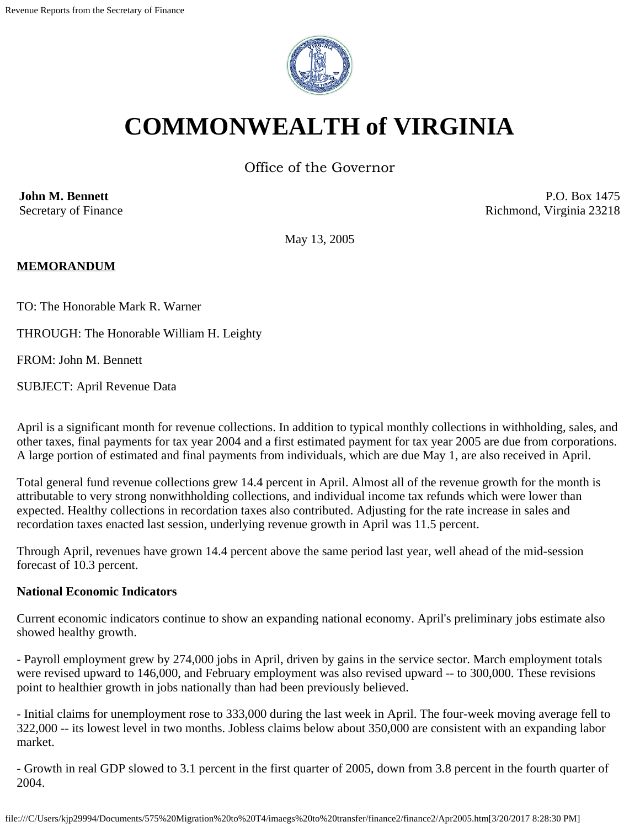

# **COMMONWEALTH of VIRGINIA**

Office of the Governor

**John M. Bennett** Secretary of Finance

P.O. Box 1475 Richmond, Virginia 23218

May 13, 2005

#### **MEMORANDUM**

TO: The Honorable Mark R. Warner

THROUGH: The Honorable William H. Leighty

FROM: John M. Bennett

SUBJECT: April Revenue Data

April is a significant month for revenue collections. In addition to typical monthly collections in withholding, sales, and other taxes, final payments for tax year 2004 and a first estimated payment for tax year 2005 are due from corporations. A large portion of estimated and final payments from individuals, which are due May 1, are also received in April.

Total general fund revenue collections grew 14.4 percent in April. Almost all of the revenue growth for the month is attributable to very strong nonwithholding collections, and individual income tax refunds which were lower than expected. Healthy collections in recordation taxes also contributed. Adjusting for the rate increase in sales and recordation taxes enacted last session, underlying revenue growth in April was 11.5 percent.

Through April, revenues have grown 14.4 percent above the same period last year, well ahead of the mid-session forecast of 10.3 percent.

#### **National Economic Indicators**

Current economic indicators continue to show an expanding national economy. April's preliminary jobs estimate also showed healthy growth.

- Payroll employment grew by 274,000 jobs in April, driven by gains in the service sector. March employment totals were revised upward to 146,000, and February employment was also revised upward -- to 300,000. These revisions point to healthier growth in jobs nationally than had been previously believed.

- Initial claims for unemployment rose to 333,000 during the last week in April. The four-week moving average fell to 322,000 -- its lowest level in two months. Jobless claims below about 350,000 are consistent with an expanding labor market.

- Growth in real GDP slowed to 3.1 percent in the first quarter of 2005, down from 3.8 percent in the fourth quarter of 2004.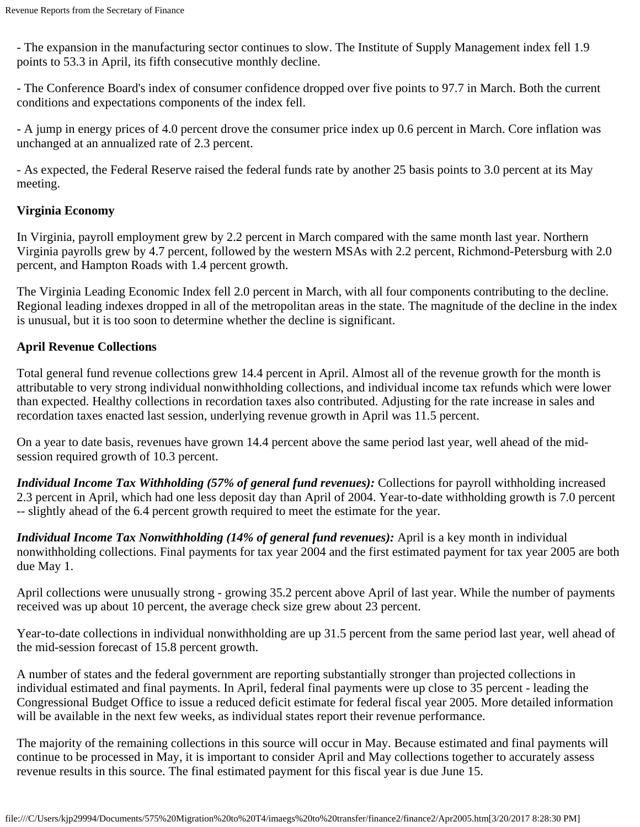- The expansion in the manufacturing sector continues to slow. The Institute of Supply Management index fell 1.9 points to 53.3 in April, its fifth consecutive monthly decline.

- The Conference Board's index of consumer confidence dropped over five points to 97.7 in March. Both the current conditions and expectations components of the index fell.

- A jump in energy prices of 4.0 percent drove the consumer price index up 0.6 percent in March. Core inflation was unchanged at an annualized rate of 2.3 percent.

- As expected, the Federal Reserve raised the federal funds rate by another 25 basis points to 3.0 percent at its May meeting.

#### **Virginia Economy**

In Virginia, payroll employment grew by 2.2 percent in March compared with the same month last year. Northern Virginia payrolls grew by 4.7 percent, followed by the western MSAs with 2.2 percent, Richmond-Petersburg with 2.0 percent, and Hampton Roads with 1.4 percent growth.

The Virginia Leading Economic Index fell 2.0 percent in March, with all four components contributing to the decline. Regional leading indexes dropped in all of the metropolitan areas in the state. The magnitude of the decline in the index is unusual, but it is too soon to determine whether the decline is significant.

#### **April Revenue Collections**

Total general fund revenue collections grew 14.4 percent in April. Almost all of the revenue growth for the month is attributable to very strong individual nonwithholding collections, and individual income tax refunds which were lower than expected. Healthy collections in recordation taxes also contributed. Adjusting for the rate increase in sales and recordation taxes enacted last session, underlying revenue growth in April was 11.5 percent.

On a year to date basis, revenues have grown 14.4 percent above the same period last year, well ahead of the midsession required growth of 10.3 percent.

*Individual Income Tax Withholding (57% of general fund revenues):* Collections for payroll withholding increased 2.3 percent in April, which had one less deposit day than April of 2004. Year-to-date withholding growth is 7.0 percent -- slightly ahead of the 6.4 percent growth required to meet the estimate for the year.

*Individual Income Tax Nonwithholding (14% of general fund revenues):* April is a key month in individual nonwithholding collections. Final payments for tax year 2004 and the first estimated payment for tax year 2005 are both due May 1.

April collections were unusually strong - growing 35.2 percent above April of last year. While the number of payments received was up about 10 percent, the average check size grew about 23 percent.

Year-to-date collections in individual nonwithholding are up 31.5 percent from the same period last year, well ahead of the mid-session forecast of 15.8 percent growth.

A number of states and the federal government are reporting substantially stronger than projected collections in individual estimated and final payments. In April, federal final payments were up close to 35 percent - leading the Congressional Budget Office to issue a reduced deficit estimate for federal fiscal year 2005. More detailed information will be available in the next few weeks, as individual states report their revenue performance.

The majority of the remaining collections in this source will occur in May. Because estimated and final payments will continue to be processed in May, it is important to consider April and May collections together to accurately assess revenue results in this source. The final estimated payment for this fiscal year is due June 15.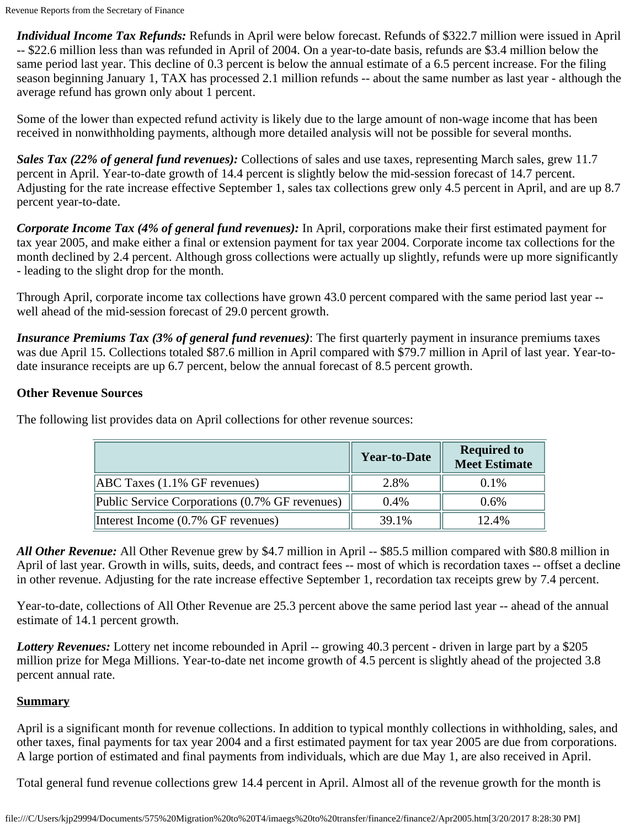*Individual Income Tax Refunds:* Refunds in April were below forecast. Refunds of \$322.7 million were issued in April -- \$22.6 million less than was refunded in April of 2004. On a year-to-date basis, refunds are \$3.4 million below the same period last year. This decline of 0.3 percent is below the annual estimate of a 6.5 percent increase. For the filing season beginning January 1, TAX has processed 2.1 million refunds -- about the same number as last year - although the average refund has grown only about 1 percent.

Some of the lower than expected refund activity is likely due to the large amount of non-wage income that has been received in nonwithholding payments, although more detailed analysis will not be possible for several months.

*Sales Tax (22% of general fund revenues):* Collections of sales and use taxes, representing March sales, grew 11.7 percent in April. Year-to-date growth of 14.4 percent is slightly below the mid-session forecast of 14.7 percent. Adjusting for the rate increase effective September 1, sales tax collections grew only 4.5 percent in April, and are up 8.7 percent year-to-date.

*Corporate Income Tax (4% of general fund revenues):* In April, corporations make their first estimated payment for tax year 2005, and make either a final or extension payment for tax year 2004. Corporate income tax collections for the month declined by 2.4 percent. Although gross collections were actually up slightly, refunds were up more significantly - leading to the slight drop for the month.

Through April, corporate income tax collections have grown 43.0 percent compared with the same period last year - well ahead of the mid-session forecast of 29.0 percent growth.

*Insurance Premiums Tax (3% of general fund revenues)*: The first quarterly payment in insurance premiums taxes was due April 15. Collections totaled \$87.6 million in April compared with \$79.7 million in April of last year. Year-todate insurance receipts are up 6.7 percent, below the annual forecast of 8.5 percent growth.

### **Other Revenue Sources**

| The following list provides data on April collections for other revenue sources: |  |
|----------------------------------------------------------------------------------|--|
|                                                                                  |  |

|                                                | <b>Year-to-Date</b> | <b>Required to</b><br><b>Meet Estimate</b> |
|------------------------------------------------|---------------------|--------------------------------------------|
| $[ABC$ Taxes $(1.1\%$ GF revenues)             | 2.8%                | $0.1\%$                                    |
| Public Service Corporations (0.7% GF revenues) | $0.4\%$             | $0.6\%$                                    |
| Interest Income (0.7% GF revenues)             | 39.1%               | 12.4%                                      |

*All Other Revenue:* All Other Revenue grew by \$4.7 million in April -- \$85.5 million compared with \$80.8 million in April of last year. Growth in wills, suits, deeds, and contract fees -- most of which is recordation taxes -- offset a decline in other revenue. Adjusting for the rate increase effective September 1, recordation tax receipts grew by 7.4 percent.

Year-to-date, collections of All Other Revenue are 25.3 percent above the same period last year -- ahead of the annual estimate of 14.1 percent growth.

*Lottery Revenues:* Lottery net income rebounded in April -- growing 40.3 percent - driven in large part by a \$205 million prize for Mega Millions. Year-to-date net income growth of 4.5 percent is slightly ahead of the projected 3.8 percent annual rate.

## **Summary**

April is a significant month for revenue collections. In addition to typical monthly collections in withholding, sales, and other taxes, final payments for tax year 2004 and a first estimated payment for tax year 2005 are due from corporations. A large portion of estimated and final payments from individuals, which are due May 1, are also received in April.

Total general fund revenue collections grew 14.4 percent in April. Almost all of the revenue growth for the month is